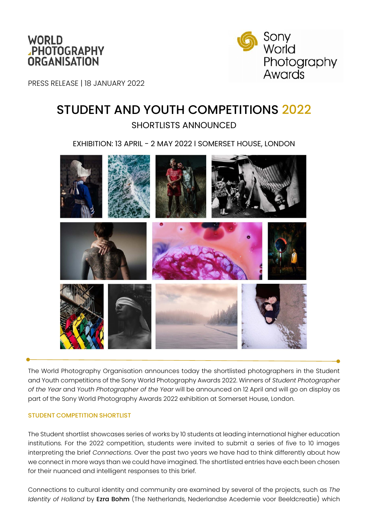



PRESS RELEASE | 18 JANUARY 2022

# STUDENT AND YOUTH COMPETITIONS 2022

# SHORTLISTS ANNOUNCED

EXHIBITION: 13 APRIL - 2 MAY 2022 l SOMERSET HOUSE, LONDON



The World Photography Organisation announces today the shortlisted photographers in the Student and Youth competitions of the Sony World Photography Awards 2022. Winners of *Student Photographer of the Year* and *Youth Photographer of the Year* will be announced on 12 April and will go on display as part of the Sony World Photography Awards 2022 exhibition at Somerset House, London.

# STUDENT COMPETITION SHORTLIST

The Student shortlist showcases series of works by 10 students at leading international higher education institutions. For the 2022 competition, students were invited to submit a series of five to 10 images interpreting the brief *Connections*. Over the past two years we have had to think differently about how we connect in more ways than we could have imagined. The shortlisted entries have each been chosen for their nuanced and intelligent responses to this brief.

Connections to cultural identity and community are examined by several of the projects, such as *The Identity of Holland* by Ezra Bohm (The Netherlands, Nederlandse Acedemie voor Beeldcreatie) which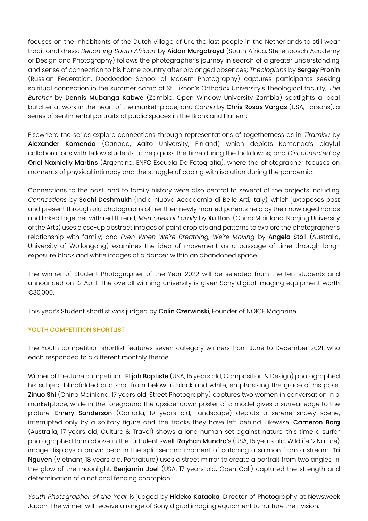focuses on the inhabitants of the Dutch village of Urk, the last people in the Netherlands to still wear traditional dress; *Becoming South African* by Aidan Murgatroyd (South Africa, Stellenbosch Academy of Design and Photography) follows the photographer's journey in search of a greater understanding and sense of connection to his home country after prolonged absences; *Theologians* by Sergey Pronin (Russian Federation, Docdocdoc School of Modern Photography) captures participants seeking spiritual connection in the summer camp of St. Tikhon's Orthodox University's Theological faculty; *The Butcher* by Dennis Mubanga Kabwe (Zambia, Open Window University Zambia) spotlights a local butcher at work in the heart of the market-place; and *Cariño* by Chris Rosas Vargas (USA, Parsons), a series of sentimental portraits of public spaces in the Bronx and Harlem;

Elsewhere the series explore connections through representations of togetherness as in *Tiramisu* by Alexander Komenda (Canada, Aalto University, Finland) which depicts Komenda's playful collaborations with fellow students to help pass the time during the lockdowns; and *Disconnected* by Oriel Naxhielly Martins (Argentina, ENFO Escuela De Fotografía), where the photographer focuses on moments of physical intimacy and the struggle of coping with isolation during the pandemic.

Connections to the past, and to family history were also central to several of the projects including *Connections* by Sachi Deshmukh (India, Nuova Accademia di Belle Arti, Italy), which juxtaposes past and present through old photographs of her then newly married parents held by their now aged hands and linked together with red thread; *Memories of Family* by Xu Han (China Mainland, Nanjing University of the Arts) uses close-up abstract images of paint droplets and patterns to explore the photographer's relationship with family; and *Even When We're Breathing, We're Moving* by Angela Stoll (Australia, University of Wollongong) examines the idea of movement as a passage of time through longexposure black and white images of a dancer within an abandoned space.

The winner of Student Photographer of the Year 2022 will be selected from the ten students and announced on 12 April. The overall winning university is given Sony digital imaging equipment worth €30,000.

This year's Student shortlist was judged by Colin Czerwinski, Founder of NOICE Magazine.

#### YOUTH COMPETITION SHORTLIST

The Youth competition shortlist features seven category winners from June to December 2021, who each responded to a different monthly theme.

Winner of the June competition, Elijah Baptiste (USA, 15 years old, Composition & Design) photographed his subject blindfolded and shot from below in black and white, emphasising the grace of his pose. Zinuo Shi (China Mainland, 17 years old, Street Photography) captures two women in conversation in a marketplace, while in the foreground the upside-down poster of a model gives a surreal edge to the picture. Emery Sanderson (Canada, 19 years old, Landscape) depicts a serene snowy scene, interrupted only by a solitary figure and the tracks they have left behind. Likewise, Cameron Borg (Australia, 17 years old, Culture & Travel) shows a lone human set against nature, this time a surfer photographed from above in the turbulent swell. **Rayhan Mundra'**s (USA, 15 years old, Wildlife & Nature) image displays a brown bear in the split-second moment of catching a salmon from a stream. Tri Nguyen (Vietnam, 18 years old, Portraiture) uses a street mirror to create a portrait from two angles, in the glow of the moonlight. Benjamin Joel (USA, 17 years old, Open Call) captured the strength and determination of a national fencing champion.

*Youth Photographer of the Year* is judged by Hideko Kataoka, Director of Photography at Newsweek Japan. The winner will receive a range of Sony digital imaging equipment to nurture their vision.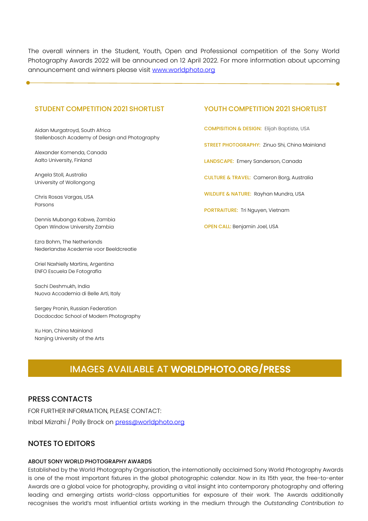The overall winners in the Student, Youth, Open and Professional competition of the Sony World Photography Awards 2022 will be announced on 12 April 2022. For more information about upcoming announcement and winners please visit [www.worldphoto.org](http://www.worldphoto.org/)

#### STUDENT COMPETITION 2021 SHORTLIST

Aidan Murgatroyd, South Africa Stellenbosch Academy of Design and Photography

Alexander Komenda, Canada Aalto University, Finland

Angela Stoll, Australia University of Wollongong

Chris Rosas Vargas, USA Parsons

Dennis Mubanga Kabwe, Zambia Open Window University Zambia

Ezra Bohm, The Netherlands Nederlandse Acedemie voor Beeldcreatie

Oriel Naxhielly Martins, Argentina ENFO Escuela De Fotografía

Sachi Deshmukh, India Nuova Accademia di Belle Arti, Italy

Sergey Pronin, Russian Federation Docdocdoc School of Modern Photography

Xu Han, China Mainland Nanjing University of the Arts

# YOUTH COMPETITION 2021 SHORTLIST

COMPISITION & DESIGN: Elijah Baptiste, USA

STREET PHOTOGRAPHY: Zinuo Shi, China Mainland

LANDSCAPE: Emery Sanderson, Canada

CULTURE & TRAVEL: Cameron Borg, Australia

WILDLIFE & NATURE: Rayhan Mundra, USA

PORTRAITURE: Tri Nguyen, Vietnam

OPEN CALL: Benjamin Joel, USA

# IMAGES AVAILABLE AT WORLDPHOTO.ORG/PRESS

#### PRESS CONTACTS

 $\overline{a}$ 

FOR FURTHER INFORMATION, PLEASE CONTACT: Inbal Mizrahi / Polly Brock on [press@worldphoto.org](mailto:press@worldphoto.org)

# NOTES TO EDITORS

#### ABOUT SONY WORLD PHOTOGRAPHY AWARDS

Established by the World Photography Organisation, the internationally acclaimed Sony World Photography Awards is one of the most important fixtures in the global photographic calendar. Now in its 15th year, the free-to-enter Awards are a global voice for photography, providing a vital insight into contemporary photography and offering leading and emerging artists world-class opportunities for exposure of their work. The Awards additionally recognises the world's most influential artists working in the medium through the *Outstanding Contribution to*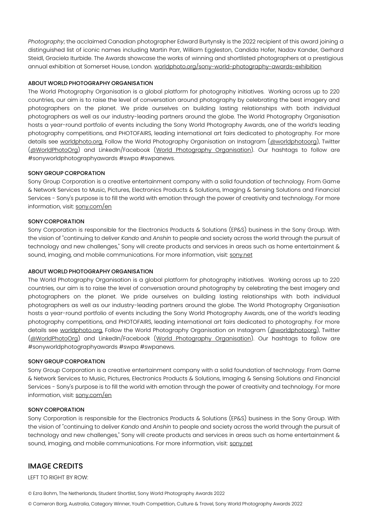*Photography*; the acclaimed Canadian photographer Edward Burtynsky is the 2022 recipient of this award joining a distinguished list of iconic names including Martin Parr, William Eggleston, Candida Hofer, Nadav Kander, Gerhard Steidl, Graciela Iturbide. The Awards showcase the works of winning and shortlisted photographers at a prestigious annual exhibition at Somerset House, London. [worldphoto.org/sony-world-photography-awards-exhibition](https://www.worldphoto.org/sony-world-photography-awards-exhibition)

#### ABOUT WORLD PHOTOGRAPHY ORGANISATION

The World Photography Organisation is a global platform for photography initiatives. Working across up to 220 countries, our aim is to raise the level of conversation around photography by celebrating the best imagery and photographers on the planet. We pride ourselves on building lasting relationships with both individual photographers as well as our industry-leading partners around the globe. The World Photography Organisation hosts a year-round portfolio of events including the Sony World Photography Awards, one of the world's leading photography competitions, and PHOTOFAIRS, leading international art fairs dedicated to photography. For more details see worldphoto.org. Follow the World Photography Organisation on Instagram [\(@worldphotoorg\)](https://www.google.com/url?q=https://www.instagram.com/worldphotoorg/&sa=D&source=editors&ust=1630497254309000&usg=AOvVaw3aIMJVWdcCRTiG6v-4FO2_), Twitter [\(@WorldPhotoOrg\)](https://www.google.com/url?q=https://twitter.com/WorldPhotoOrg&sa=D&source=editors&ust=1630497254309000&usg=AOvVaw2upJo-rDJ9QX470l3E1Zw1) and LinkedIn/Facebook [\(World Photography Organisation\)](https://www.google.com/url?q=https://www.facebook.com/WorldPhotographyOrganisation/&sa=D&source=editors&ust=1630497254309000&usg=AOvVaw3Bp4W_OEpvfEta2lSTUvDo). Our hashtags to follow are #sonyworldphotographyawards #swpa #swpanews.

#### SONY GROUP CORPORATION

Sony Group Corporation is a creative entertainment company with a solid foundation of technology. From Game & Network Services to Music, Pictures, Electronics Products & Solutions, Imaging & Sensing Solutions and Financial Services - Sony's purpose is to fill the world with emotion through the power of creativity and technology. For more information, visit: [sony.com/en](http://www.sony.com/en/)

#### SONY CORPORATION

Sony Corporation is responsible for the Electronics Products & Solutions (EP&S) business in the Sony Group. With the vision of "continuing to deliver *Kando* and *Anshin* to people and society across the world through the pursuit of technology and new challenges," Sony will create products and services in areas such as home entertainment & sound, imaging, and mobile communications. For more information, visit: [sony.net](http://www.sony.net/)

#### ABOUT WORLD PHOTOGRAPHY ORGANISATION

The World Photography Organisation is a global platform for photography initiatives. Working across up to 220 countries, our aim is to raise the level of conversation around photography by celebrating the best imagery and photographers on the planet. We pride ourselves on building lasting relationships with both individual photographers as well as our industry-leading partners around the globe. The World Photography Organisation hosts a year-round portfolio of events including the Sony World Photography Awards, one of the world's leading photography competitions, and PHOTOFAIRS, leading international art fairs dedicated to photography. For more details see worldphoto.org. Follow the World Photography Organisation on Instagram [\(@worldphotoorg\)](https://www.google.com/url?q=https://www.instagram.com/worldphotoorg/&sa=D&source=editors&ust=1630497254309000&usg=AOvVaw3aIMJVWdcCRTiG6v-4FO2_), Twitter [\(@WorldPhotoOrg\)](https://www.google.com/url?q=https://twitter.com/WorldPhotoOrg&sa=D&source=editors&ust=1630497254309000&usg=AOvVaw2upJo-rDJ9QX470l3E1Zw1) and LinkedIn/Facebook [\(World Photography Organisation\)](https://www.google.com/url?q=https://www.facebook.com/WorldPhotographyOrganisation/&sa=D&source=editors&ust=1630497254309000&usg=AOvVaw3Bp4W_OEpvfEta2lSTUvDo). Our hashtags to follow are #sonyworldphotographyawards #swpa #swpanews.

#### SONY GROUP CORPORATION

Sony Group Corporation is a creative entertainment company with a solid foundation of technology. From Game & Network Services to Music, Pictures, Electronics Products & Solutions, Imaging & Sensing Solutions and Financial Services - Sony's purpose is to fill the world with emotion through the power of creativity and technology. For more information, visit: [sony.com/en](http://www.sony.com/en/)

#### SONY CORPORATION

Sony Corporation is responsible for the Electronics Products & Solutions (EP&S) business in the Sony Group. With the vision of "continuing to deliver *Kando* and *Anshin* to people and society across the world through the pursuit of technology and new challenges," Sony will create products and services in areas such as home entertainment & sound, imaging, and mobile communications. For more information, visit: [sony.net](http://www.sony.net/)

# IMAGE CREDITS

LEFT TO RIGHT BY ROW:

© Ezra Bohm, The Netherlands, Student Shortlist, Sony World Photography Awards 2022

© Cameron Borg, Australia, Category Winner, Youth Competition, Culture & Travel, Sony World Photography Awards 2022